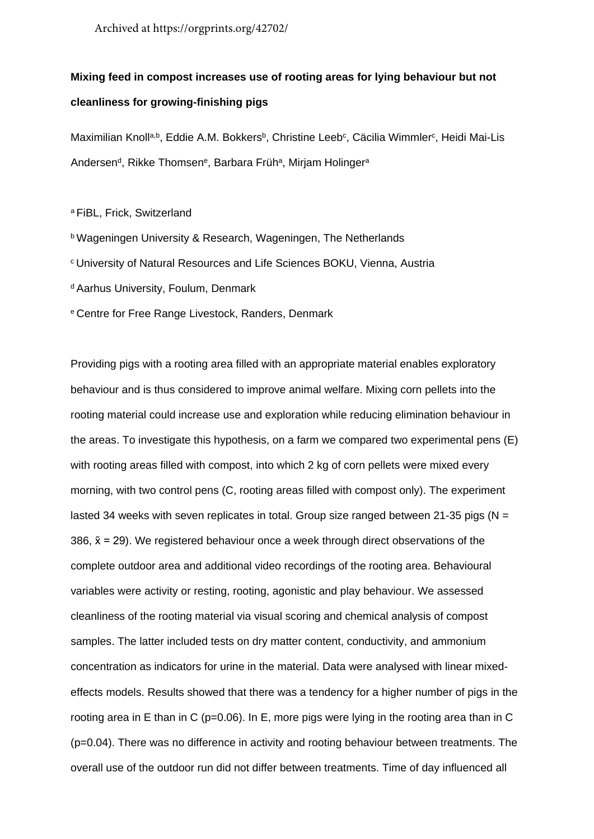Archived at https://orgprints.org/42702/

## **Mixing feed in compost increases use of rooting areas for lying behaviour but not cleanliness for growing-finishing pigs**

Maximilian Knoll<sup>a,b</sup>, Eddie A.M. Bokkers<sup>b</sup>, Christine Leeb<sup>c</sup>, Cäcilia Wimmler<sup>c</sup>, Heidi Mai-Lis Andersen<sup>d</sup>, Rikke Thomsen<sup>e</sup>, Barbara Früh<sup>a</sup>, Mirjam Holinger<sup>a</sup>

<sup>a</sup> FiBL, Frick, Switzerland

- **b Wageningen University & Research, Wageningen, The Netherlands**
- c University of Natural Resources and Life Sciences BOKU, Vienna, Austria
- d Aarhus University, Foulum, Denmark
- e Centre for Free Range Livestock, Randers, Denmark

Providing pigs with a rooting area filled with an appropriate material enables exploratory behaviour and is thus considered to improve animal welfare. Mixing corn pellets into the rooting material could increase use and exploration while reducing elimination behaviour in the areas. To investigate this hypothesis, on a farm we compared two experimental pens (E) with rooting areas filled with compost, into which 2 kg of corn pellets were mixed every morning, with two control pens (C, rooting areas filled with compost only). The experiment lasted 34 weeks with seven replicates in total. Group size ranged between 21-35 pigs ( $N =$ 386,  $\tilde{x}$  = 29). We registered behaviour once a week through direct observations of the complete outdoor area and additional video recordings of the rooting area. Behavioural variables were activity or resting, rooting, agonistic and play behaviour. We assessed cleanliness of the rooting material via visual scoring and chemical analysis of compost samples. The latter included tests on dry matter content, conductivity, and ammonium concentration as indicators for urine in the material. Data were analysed with linear mixedeffects models. Results showed that there was a tendency for a higher number of pigs in the rooting area in E than in C (p=0.06). In E, more pigs were lying in the rooting area than in C (p=0.04). There was no difference in activity and rooting behaviour between treatments. The overall use of the outdoor run did not differ between treatments. Time of day influenced all